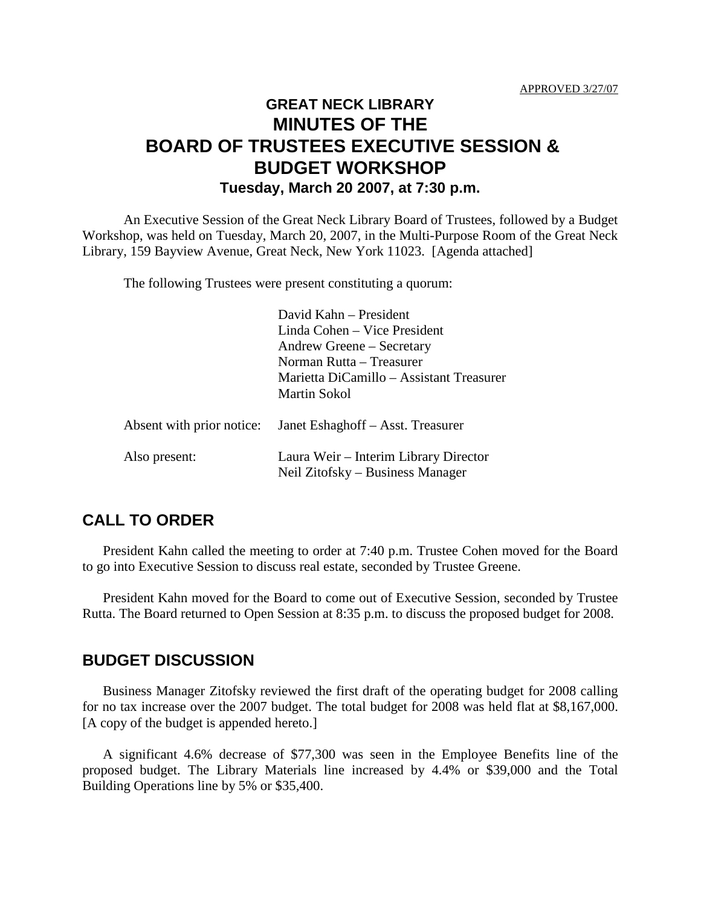## **GREAT NECK LIBRARY MINUTES OF THE BOARD OF TRUSTEES EXECUTIVE SESSION & BUDGET WORKSHOP Tuesday, March 20 2007, at 7:30 p.m.**

An Executive Session of the Great Neck Library Board of Trustees, followed by a Budget Workshop, was held on Tuesday, March 20, 2007, in the Multi-Purpose Room of the Great Neck Library, 159 Bayview Avenue, Great Neck, New York 11023. [Agenda attached]

The following Trustees were present constituting a quorum:

|                           | David Kahn – President                                                    |
|---------------------------|---------------------------------------------------------------------------|
|                           | Linda Cohen – Vice President                                              |
|                           | Andrew Greene – Secretary                                                 |
|                           | Norman Rutta – Treasurer                                                  |
|                           | Marietta DiCamillo – Assistant Treasurer                                  |
|                           | Martin Sokol                                                              |
| Absent with prior notice: | Janet Eshaghoff – Asst. Treasurer                                         |
| Also present:             | Laura Weir – Interim Library Director<br>Neil Zitofsky – Business Manager |

## **CALL TO ORDER**

President Kahn called the meeting to order at 7:40 p.m. Trustee Cohen moved for the Board to go into Executive Session to discuss real estate, seconded by Trustee Greene.

President Kahn moved for the Board to come out of Executive Session, seconded by Trustee Rutta. The Board returned to Open Session at 8:35 p.m. to discuss the proposed budget for 2008.

## **BUDGET DISCUSSION**

Business Manager Zitofsky reviewed the first draft of the operating budget for 2008 calling for no tax increase over the 2007 budget. The total budget for 2008 was held flat at \$8,167,000. [A copy of the budget is appended hereto.]

A significant 4.6% decrease of \$77,300 was seen in the Employee Benefits line of the proposed budget. The Library Materials line increased by 4.4% or \$39,000 and the Total Building Operations line by 5% or \$35,400.